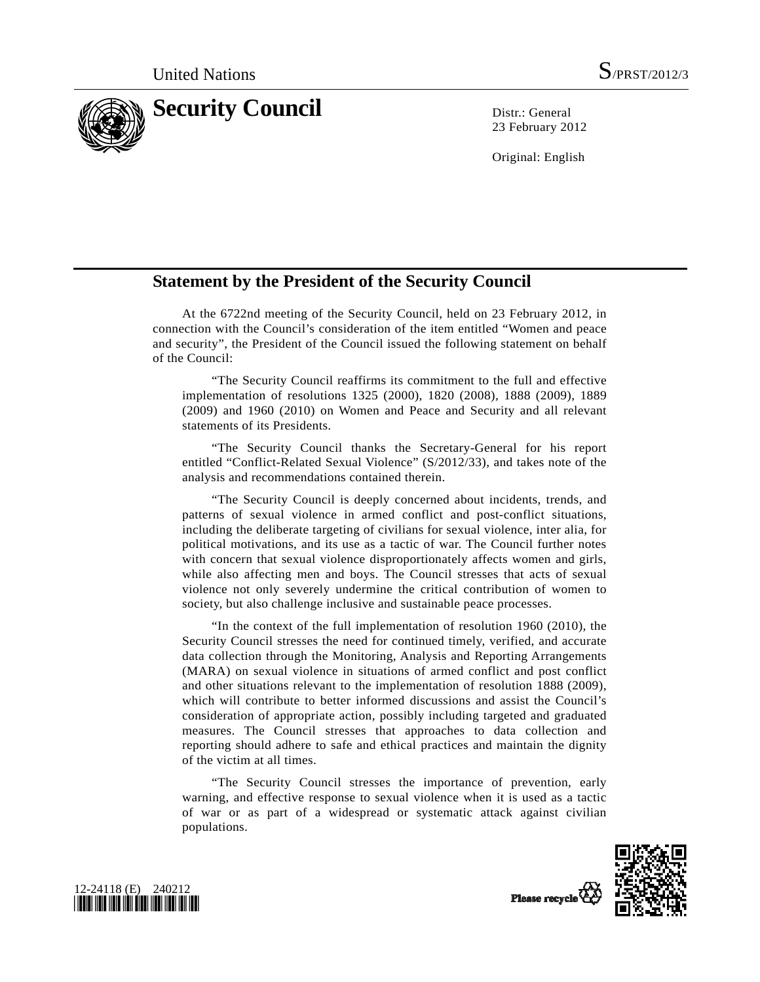

23 February 2012

Original: English

## **Statement by the President of the Security Council**

 At the 6722nd meeting of the Security Council, held on 23 February 2012, in connection with the Council's consideration of the item entitled "Women and peace and security", the President of the Council issued the following statement on behalf of the Council:

 "The Security Council reaffirms its commitment to the full and effective implementation of resolutions 1325 (2000), 1820 (2008), 1888 (2009), 1889 (2009) and 1960 (2010) on Women and Peace and Security and all relevant statements of its Presidents.

 "The Security Council thanks the Secretary-General for his report entitled "Conflict-Related Sexual Violence" (S/2012/33), and takes note of the analysis and recommendations contained therein.

 "The Security Council is deeply concerned about incidents, trends, and patterns of sexual violence in armed conflict and post-conflict situations, including the deliberate targeting of civilians for sexual violence, inter alia, for political motivations, and its use as a tactic of war. The Council further notes with concern that sexual violence disproportionately affects women and girls, while also affecting men and boys. The Council stresses that acts of sexual violence not only severely undermine the critical contribution of women to society, but also challenge inclusive and sustainable peace processes.

 "In the context of the full implementation of resolution 1960 (2010), the Security Council stresses the need for continued timely, verified, and accurate data collection through the Monitoring, Analysis and Reporting Arrangements (MARA) on sexual violence in situations of armed conflict and post conflict and other situations relevant to the implementation of resolution 1888 (2009), which will contribute to better informed discussions and assist the Council's consideration of appropriate action, possibly including targeted and graduated measures. The Council stresses that approaches to data collection and reporting should adhere to safe and ethical practices and maintain the dignity of the victim at all times.

 "The Security Council stresses the importance of prevention, early warning, and effective response to sexual violence when it is used as a tactic of war or as part of a widespread or systematic attack against civilian populations.





Please recycle<sup>Q</sup>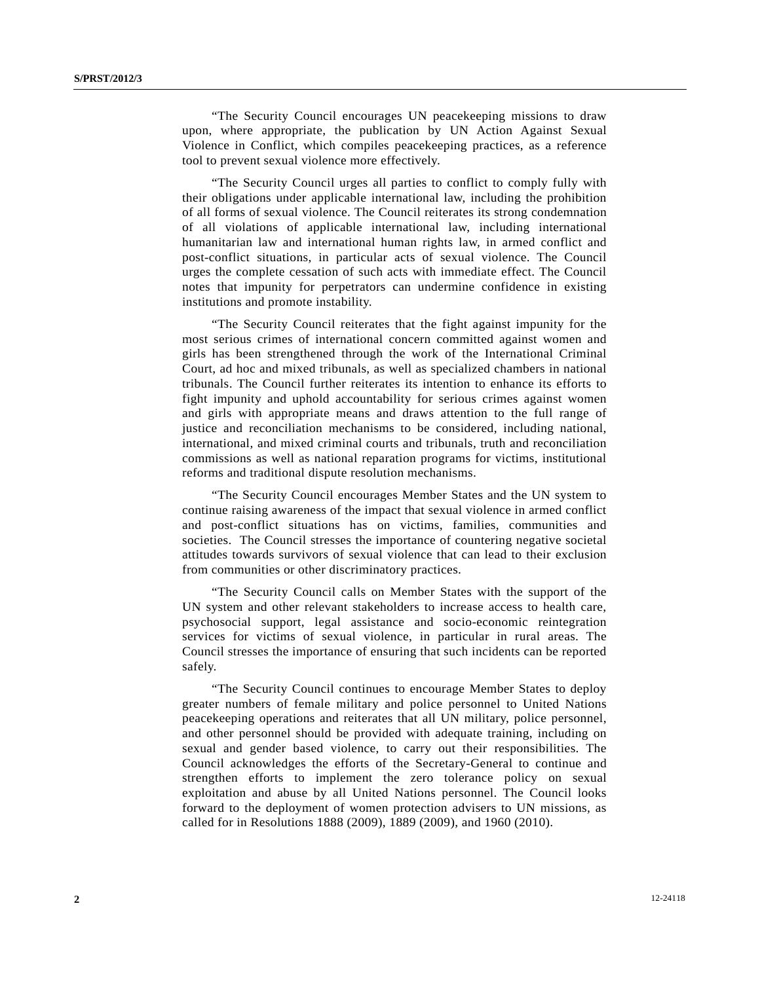"The Security Council encourages UN peacekeeping missions to draw upon, where appropriate, the publication by UN Action Against Sexual Violence in Conflict, which compiles peacekeeping practices, as a reference tool to prevent sexual violence more effectively.

 "The Security Council urges all parties to conflict to comply fully with their obligations under applicable international law, including the prohibition of all forms of sexual violence. The Council reiterates its strong condemnation of all violations of applicable international law, including international humanitarian law and international human rights law, in armed conflict and post-conflict situations, in particular acts of sexual violence. The Council urges the complete cessation of such acts with immediate effect. The Council notes that impunity for perpetrators can undermine confidence in existing institutions and promote instability.

 "The Security Council reiterates that the fight against impunity for the most serious crimes of international concern committed against women and girls has been strengthened through the work of the International Criminal Court, ad hoc and mixed tribunals, as well as specialized chambers in national tribunals. The Council further reiterates its intention to enhance its efforts to fight impunity and uphold accountability for serious crimes against women and girls with appropriate means and draws attention to the full range of justice and reconciliation mechanisms to be considered, including national, international, and mixed criminal courts and tribunals, truth and reconciliation commissions as well as national reparation programs for victims, institutional reforms and traditional dispute resolution mechanisms.

 "The Security Council encourages Member States and the UN system to continue raising awareness of the impact that sexual violence in armed conflict and post-conflict situations has on victims, families, communities and societies. The Council stresses the importance of countering negative societal attitudes towards survivors of sexual violence that can lead to their exclusion from communities or other discriminatory practices.

 "The Security Council calls on Member States with the support of the UN system and other relevant stakeholders to increase access to health care, psychosocial support, legal assistance and socio-economic reintegration services for victims of sexual violence, in particular in rural areas. The Council stresses the importance of ensuring that such incidents can be reported safely.

 "The Security Council continues to encourage Member States to deploy greater numbers of female military and police personnel to United Nations peacekeeping operations and reiterates that all UN military, police personnel, and other personnel should be provided with adequate training, including on sexual and gender based violence, to carry out their responsibilities. The Council acknowledges the efforts of the Secretary-General to continue and strengthen efforts to implement the zero tolerance policy on sexual exploitation and abuse by all United Nations personnel. The Council looks forward to the deployment of women protection advisers to UN missions, as called for in Resolutions 1888 (2009), 1889 (2009), and 1960 (2010).